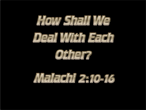



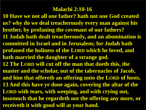### **Malachi 2:10-16**

**10 Have we not all one father? hath not one God created us? why do we deal treacherously every man against his brother, by profaning the covenant of our fathers? 11 Judah hath dealt treacherously, and an abomination is committed in Israel and in Jerusalem; for Judah hath profaned the holiness of the LORD which he loved, and hath married the daughter of a strange god. 12 The LORD will cut off the man that doeth this, the master and the scholar, out of the tabernacles of Jacob, and him that offereth an offering unto the LORD of hosts. 13 And this have ye done again, covering the altar of the LORD with tears, with weeping, and with crying out, insomuch that he regardeth not the offering any more, or receiveth it with good will at your hand.**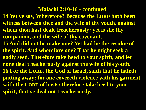#### **Malachi 2:10-16 - continued**

**14 Yet ye say, Wherefore? Because the LORD hath been witness between thee and the wife of thy youth, against whom thou hast dealt treacherously: yet is she thy companion, and the wife of thy covenant.**

**15 And did not he make one? Yet had he the residue of the spirit. And wherefore one? That he might seek a godly seed. Therefore take heed to your spirit, and let none deal treacherously against the wife of his youth. 16 For the LORD, the God of Israel, saith that he hateth putting away: for one covereth violence with his garment, saith the LORD of hosts: therefore take heed to your spirit, that ye deal not treacherously.**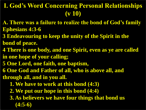# **I. God's Word Concerning Personal Relationships (v 10)**

- **A. There was a failure to realize the bond of God's family Ephesians 4:3-6**
- **3 Endeavouring to keep the unity of the Spirit in the**
- **bond of peace.**
- **4 There is one body, and one Spirit, even as ye are called in one hope of your calling;**
- **5 One Lord, one faith, one baptism,**
- **6 One God and Father of all, who is above all, and through all, and in you all.**
	- **1. We have to work at this bond (4:3)**
	- **2. We put our hope in this bond (4:4)**
	- **3. As believers we have four things that bond us (4:5-6)**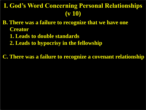# **I. God's Word Concerning Personal Relationships (v 10)**

- **B. There was a failure to recognize that we have one Creator**
	- **1. Leads to double standards**
	- **2. Leads to hypocrisy in the fellowship**

**C. There was a failure to recognize a covenant relationship**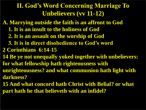- **A. Marrying outside the faith is an affront to God**
	- **1. It is an insult to the holiness of God**
	- **2. It is an assault on the worship of God**
	- **3. It is in direct disobedience to God's word**
- **2 Corinthians 6:14-15**
- **14 Be ye not unequally yoked together with unbelievers: for what fellowship hath righteousness with**
- **unrighteousness? and what communion hath light with darkness?**
- **15 And what concord hath Christ with Belial? or what part hath he that believeth with an infidel?**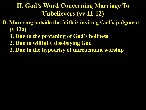- **B. Marrying outside the faith is inviting God's judgment (v 12a)** 
	- **1. Due to the profaning of God's holiness**
	- **2. Due to willfully disobeying God**
	- **3. Due to the hypocrisy of unrepentant worship**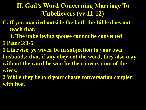- **C. If you married outside the faith the Bible does not teach that:** 
	- **1. The unbelieving spouse cannot be converted**
- **1 Peter 3:1-5**
- **1 Likewise, ye wives, be in subjection to your own**
- **husbands; that, if any obey not the word, they also may without the word be won by the conversation of the wives;**
- **2 While they behold your chaste conversation coupled with fear.**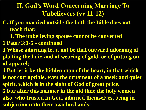- **C. If you married outside the faith the Bible does not teach that:** 
	- **1. The unbelieving spouse cannot be converted**
- **1 Peter 3:1-5 - continued**
- **3 Whose adorning let it not be that outward adorning of plaiting the hair, and of wearing of gold, or of putting on of apparel;**
- **4 But let it be the hidden man of the heart, in that which is not corruptible, even the ornament of a meek and quiet spirit, which is in the sight of God of great price.**
- **5 For after this manner in the old time the holy women also, who trusted in God, adorned themselves, being in subjection unto their own husbands:**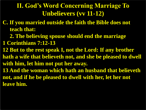- **C. If you married outside the faith the Bible does not teach that:** 
	- **2. The believing spouse should end the marriage**
- **1 Corinthians 7:12-13**
- **12 But to the rest speak I, not the Lord: If any brother hath a wife that believeth not, and she be pleased to dwell with him, let him not put her away.**
- **13 And the woman which hath an husband that believeth not, and if he be pleased to dwell with her, let her not leave him.**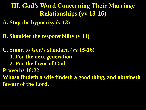**III. God's Word Concerning Their Marriage Relationships (vv 13-16)**

**A. Stop the hypocrisy (v 13)**

**B. Shoulder the responsibility (v 14)**

**C. Stand to God's standard (vv 15-16) 1. For the next generation 2. For the favor of God Proverbs 18:22 Whoso findeth a wife findeth a good thing, and obtaineth favour of the Lord.**